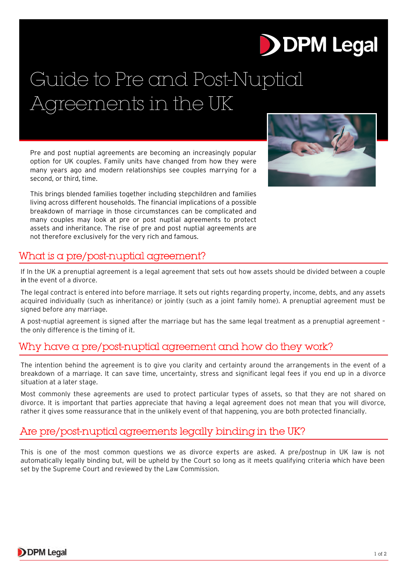# **DDPM Legal**

## Guide to Pre and Post-Nuptial Agreements in the UK

Pre and post nuptial agreements are becoming an increasingly popular option for UK couples. Family units have changed from how they were many years ago and modern relationships see couples marrying for a second, or third, time.

This brings blended families together including stepchildren and families living across different households. The financial implications of a possible breakdown of marriage in those circumstances can be complicated and many couples may look at pre or post nuptial agreements to protect assets and inheritance. The rise of pre and post nuptial agreements are not therefore exclusively for the very rich and famous.



#### What is a pre/post-nuptial agreement?

If In the UK a prenuptial agreement is a legal agreement that sets out how assets should be divided between a couple in the event of a divorce.

The legal contract is entered into before marriage. It sets out rights regarding property, income, debts, and any assets acquired individually (such as inheritance) or jointly (such as a joint family home). A prenuptial agreement must be signed before any marriage.

A post-nuptial agreement is signed after the marriage but has the same legal treatment as a prenuptial agreement – the only difference is the timing of it.

#### Why have a pre/post-nuptial agreement and how do they work?

The intention behind the agreement is to give you clarity and certainty around the arrangements in the event of a breakdown of a marriage. It can save time, uncertainty, stress and significant legal fees if you end up in a divorce situation at a later stage.

Most commonly these agreements are used to protect particular types of assets, so that they are not shared on divorce. It is important that parties appreciate that having a legal agreement does not mean that you will divorce, rather it gives some reassurance that in the unlikely event of that happening, you are both protected financially.

#### Are pre/post-nuptial agreements legally binding in the UK?

This is one of the most common questions we as divorce experts are asked. A pre/postnup in UK law is not automatically legally binding but, will be upheld by the Court so long as it meets qualifying criteria which have been set by the Supreme Court and reviewed by the Law Commission.